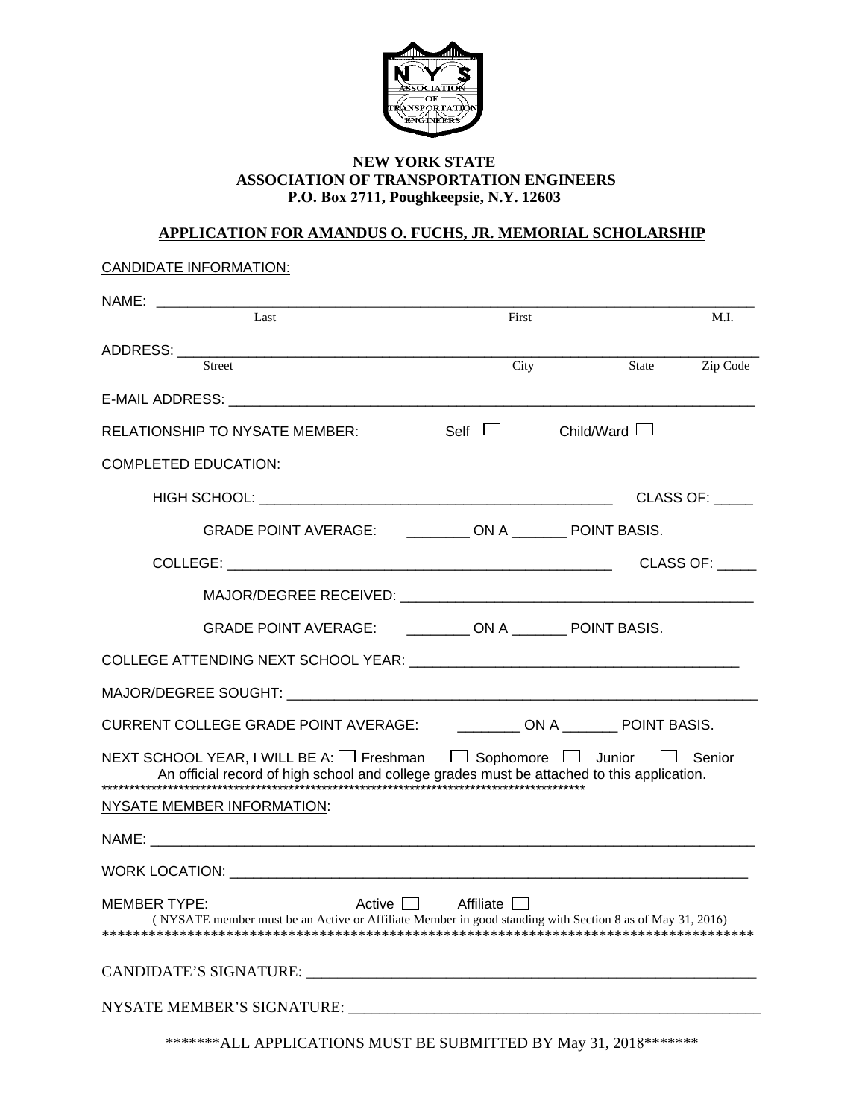

## **NEW YORK STATE ASSOCIATION OF TRANSPORTATION ENGINEERS P.O. Box 2711, Poughkeepsie, N.Y. 12603**

## **APPLICATION FOR AMANDUS O. FUCHS, JR. MEMORIAL SCHOLARSHIP**

| <b>CANDIDATE INFORMATION:</b>                                                                                                                                                                                                  |             |              |                 |
|--------------------------------------------------------------------------------------------------------------------------------------------------------------------------------------------------------------------------------|-------------|--------------|-----------------|
| $\overline{Last}$                                                                                                                                                                                                              | First       |              | M.I.            |
| <b>Street</b>                                                                                                                                                                                                                  | City        | State        | Zip Code        |
| E-MAIL ADDRESS: The contract of the contract of the contract of the contract of the contract of the contract of the contract of the contract of the contract of the contract of the contract of the contract of the contract o |             |              |                 |
| <b>RELATIONSHIP TO NYSATE MEMBER:</b>                                                                                                                                                                                          | Self $\Box$ | Child/Ward L |                 |
| <b>COMPLETED EDUCATION:</b>                                                                                                                                                                                                    |             |              |                 |
|                                                                                                                                                                                                                                |             |              | CLASS OF: _____ |
| GRADE POINT AVERAGE: __________ ON A ________ POINT BASIS.                                                                                                                                                                     |             |              |                 |
|                                                                                                                                                                                                                                |             |              | CLASS OF:       |
|                                                                                                                                                                                                                                |             |              |                 |
| GRADE POINT AVERAGE: ___________ ON A ________ POINT BASIS.                                                                                                                                                                    |             |              |                 |
|                                                                                                                                                                                                                                |             |              |                 |
|                                                                                                                                                                                                                                |             |              |                 |
| CURRENT COLLEGE GRADE POINT AVERAGE: ___________ ON A ________ POINT BASIS.                                                                                                                                                    |             |              |                 |
| NEXT SCHOOL YEAR, I WILL BE A: □ Freshman □ Sophomore □ Junior □ Senior<br>An official record of high school and college grades must be attached to this application.                                                          |             |              |                 |
| <b>NYSATE MEMBER INFORMATION:</b>                                                                                                                                                                                              |             |              |                 |
|                                                                                                                                                                                                                                |             |              |                 |
|                                                                                                                                                                                                                                |             |              |                 |
| <b>MEMBER TYPE:</b><br>Active $\Box$<br>(NYSATE member must be an Active or Affiliate Member in good standing with Section 8 as of May 31, 2016)                                                                               | Affiliate   |              |                 |
|                                                                                                                                                                                                                                |             |              |                 |
|                                                                                                                                                                                                                                |             |              |                 |

\*\*\*\*\*\*\*ALL APPLICATIONS MUST BE SUBMITTED BY May 31, 2018\*\*\*\*\*\*\*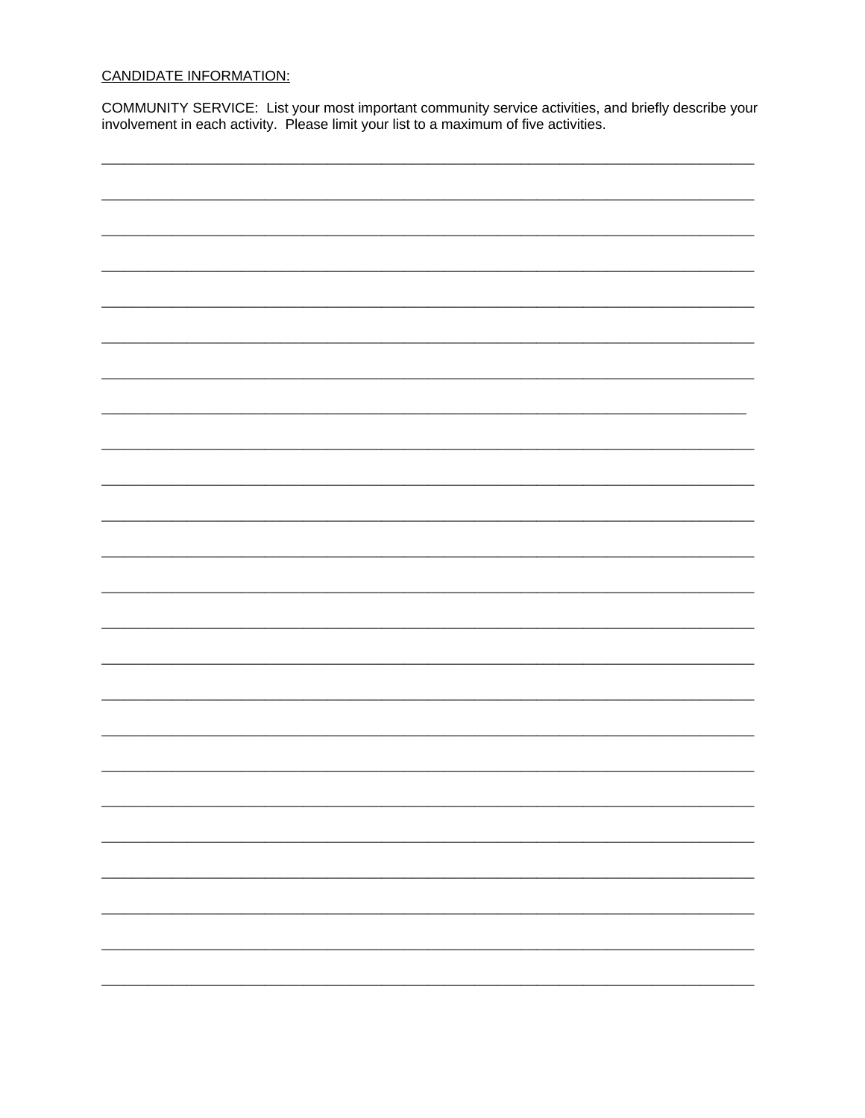## **CANDIDATE INFORMATION:**

COMMUNITY SERVICE: List your most important community service activities, and briefly describe your involvement in each activity. Please limit your list to a maximum of five activities.